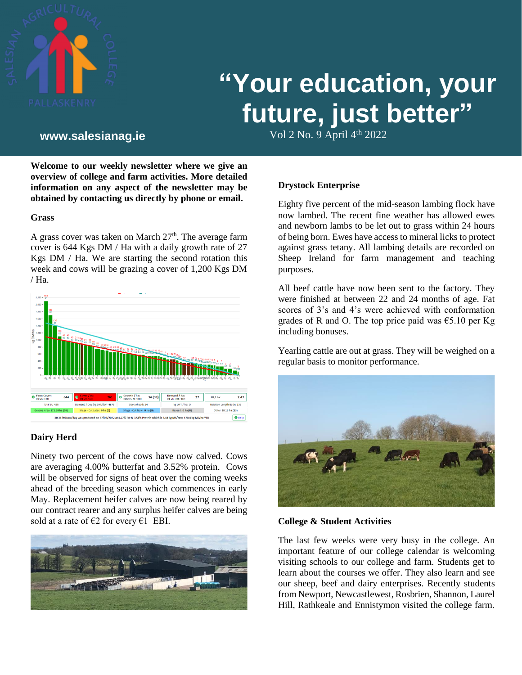

# **"Your education, your future, just better"**

Vol 2 No. 9 April 4th **www.salesianag.ie** 2022

**Welcome to our weekly newsletter where we give an overview of college and farm activities. More detailed information on any aspect of the newsletter may be obtained by contacting us directly by phone or email.**

#### **Grass**

A grass cover was taken on March  $27<sup>th</sup>$ . The average farm cover is 644 Kgs DM / Ha with a daily growth rate of 27 Kgs DM / Ha. We are starting the second rotation this week and cows will be grazing a cover of 1,200 Kgs DM / Ha.



# **Dairy Herd**

Ninety two percent of the cows have now calved. Cows are averaging 4.00% butterfat and 3.52% protein. Cows will be observed for signs of heat over the coming weeks ahead of the breeding season which commences in early May. Replacement heifer calves are now being reared by our contract rearer and any surplus heifer calves are being sold at a rate of  $\epsilon$ 2 for every  $\epsilon$ 1 EBI.



**Drystock Enterprise**

Eighty five percent of the mid-season lambing flock have now lambed. The recent fine weather has allowed ewes and newborn lambs to be let out to grass within 24 hours of being born. Ewes have access to mineral licks to protect against grass tetany. All lambing details are recorded on Sheep Ireland for farm management and teaching purposes.

All beef cattle have now been sent to the factory. They were finished at between 22 and 24 months of age. Fat scores of 3's and 4's were achieved with conformation grades of R and O. The top price paid was  $\epsilon$ 5.10 per Kg including bonuses.

Yearling cattle are out at grass. They will be weighed on a regular basis to monitor performance.



#### **College & Student Activities**

The last few weeks were very busy in the college. An important feature of our college calendar is welcoming visiting schools to our college and farm. Students get to learn about the courses we offer. They also learn and see our sheep, beef and dairy enterprises. Recently students from Newport, Newcastlewest, Rosbrien, Shannon, Laurel Hill, Rathkeale and Ennistymon visited the college farm.